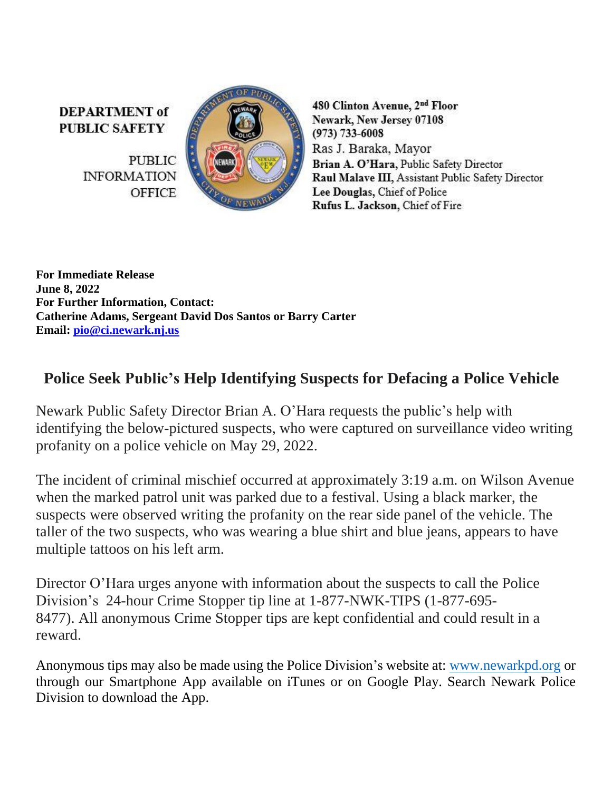**DEPARTMENT** of **PUBLIC SAFETY** 

> **PUBLIC INFORMATION OFFICE**



480 Clinton Avenue, 2nd Floor Newark, New Jersey 07108  $(973) 733 - 6008$ Ras J. Baraka, Mayor Brian A. O'Hara, Public Safety Director Raul Malave III, Assistant Public Safety Director Lee Douglas, Chief of Police Rufus L. Jackson, Chief of Fire

**For Immediate Release June 8, 2022 For Further Information, Contact: Catherine Adams, Sergeant David Dos Santos or Barry Carter Email: [pio@ci.newark.nj.us](mailto:pio@ci.newark.nj.us)**

## **Police Seek Public's Help Identifying Suspects for Defacing a Police Vehicle**

Newark Public Safety Director Brian A. O'Hara requests the public's help with identifying the below-pictured suspects, who were captured on surveillance video writing profanity on a police vehicle on May 29, 2022.

The incident of criminal mischief occurred at approximately 3:19 a.m. on Wilson Avenue when the marked patrol unit was parked due to a festival. Using a black marker, the suspects were observed writing the profanity on the rear side panel of the vehicle. The taller of the two suspects, who was wearing a blue shirt and blue jeans, appears to have multiple tattoos on his left arm.

Director O'Hara urges anyone with information about the suspects to call the Police Division's 24-hour Crime Stopper tip line at 1-877-NWK-TIPS (1-877-695- 8477). All anonymous Crime Stopper tips are kept confidential and could result in a reward.

Anonymous tips may also be made using the Police Division's website at: [www.newarkpd.org](https://nam11.safelinks.protection.outlook.com/?url=http%3A%2F%2Fwww.newarkpd.org%2F&data=04%7C01%7Ccarterba%40ci.newark.nj.us%7C92a82169bcc34f83ddaf08d9c4a7e14f%7C24883a20af7b4ead9b4c900a20da8933%7C0%7C0%7C637757047590426713%7CUnknown%7CTWFpbGZsb3d8eyJWIjoiMC4wLjAwMDAiLCJQIjoiV2luMzIiLCJBTiI6Ik1haWwiLCJXVCI6Mn0%3D%7C3000&sdata=jra6I1QGnzC3%2B2Pn2AXVyJZGuCjfTChzSjpqOMvnEAs%3D&reserved=0) or through our Smartphone App available on iTunes or on Google Play. Search Newark Police Division to download the App.